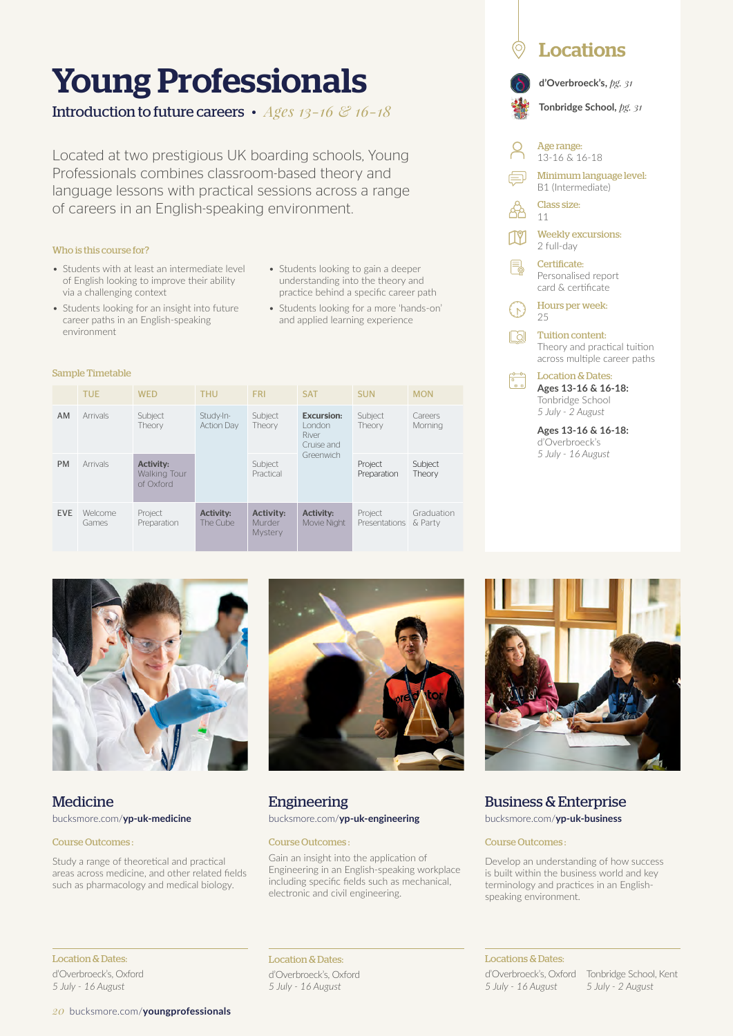# Young Professionals

Introduction to future careers • *Ages 13-16 & 16-18*

Located at two prestigious UK boarding schools, Young Professionals combines classroom-based theory and language lessons with practical sessions across a range of careers in an English-speaking environment.

#### Who is this course for?

Sample Timetable

environment

- Students with at least an intermediate level of English looking to improve their ability via a challenging context
- Students looking to gain a deeper understanding into the theory and practice behind a specific career path
- Students looking for an insight into future career paths in an English-speaking • Students looking for a more 'hands-on' and applied learning experience

|            | <b>TUE</b>              | <b>WED</b>                                           | <b>THU</b>                     | <b>FRI</b>                            | <b>SAT</b>                                                      | <b>SUN</b>               | <b>MON</b>            |
|------------|-------------------------|------------------------------------------------------|--------------------------------|---------------------------------------|-----------------------------------------------------------------|--------------------------|-----------------------|
| AM.        | Arrivals                | Subject<br>Theory                                    | Study-In-<br><b>Action Dav</b> | Subject<br>Theory                     | <b>Excursion:</b><br>London<br>River<br>Cruise and<br>Greenwich | Subject<br>Theory        | Careers<br>Mornina    |
| <b>PM</b>  | Arrivals                | <b>Activity:</b><br><b>Walking Tour</b><br>of Oxford |                                | Subject<br>Practical                  |                                                                 | Project<br>Preparation   | Subject<br>Theory     |
| <b>EVE</b> | <b>Welcome</b><br>Games | Project<br>Preparation                               | <b>Activity:</b><br>The Cube   | <b>Activity:</b><br>Murder<br>Mystery | <b>Activity:</b><br>Movie Niaht                                 | Project<br>Presentations | Graduation<br>& Party |



### Medicine bucksmore.com/**yp-uk-medicine**

#### Course Outcomes :

Study a range of theoretical and practical areas across medicine, and other related fields such as pharmacology and medical biology.



Engineering bucksmore.com/**yp-uk-engineering**

#### Course Outcomes :

Gain an insight into the application of Engineering in an English-speaking workplace including specific fields such as mechanical, electronic and civil engineering.



**Locations** 

**Ages 13-16 & 16-18:**  d'Overbroeck's *5 July - 16 August*

# Business & Enterprise

bucksmore.com/**yp-uk-business**

#### Course Outcomes :

Develop an understanding of how success is built within the business world and key terminology and practices in an Englishspeaking environment.

#### Location & Dates: d'Overbroeck's, Oxford *5 July - 16 August*

*20* bucksmore.com/**youngprofessionals**

Location & Dates: d'Overbroeck's, Oxford *5 July - 16 August*

### Locations & Dates:

d'Overbroeck's, Oxford *5 July - 16 August*

Tonbridge School, Kent *5 July - 2 August*